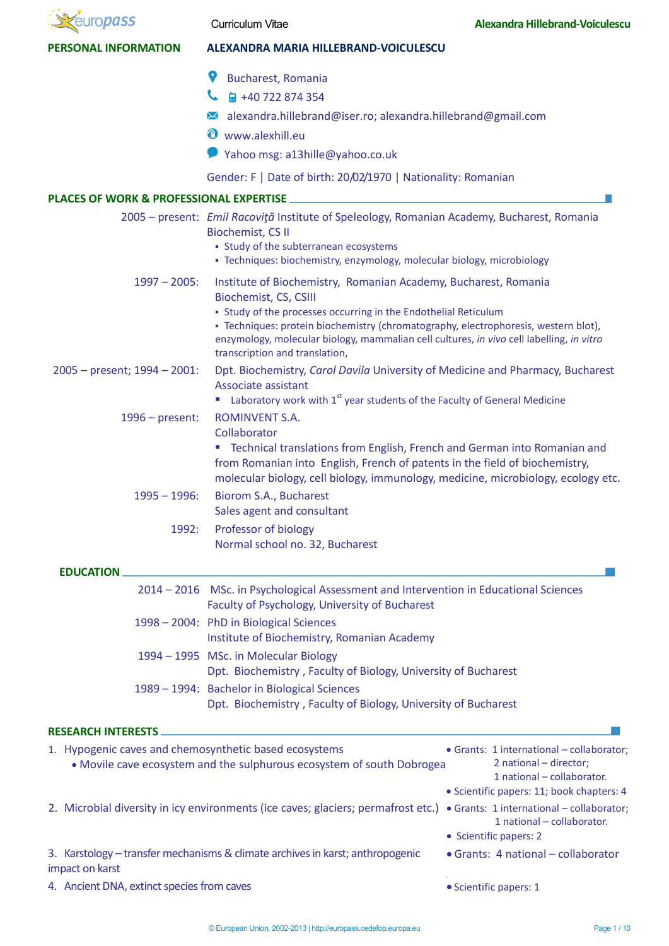| <b><i>uropass</i></b>                                  | <b>Curriculum Vitae</b>                                                                                                                                                                                                                                                                                                                                                          | <b>Alexandra Hillebrand-Voiculescu</b>                                                                                                                                                                                                              |  |  |
|--------------------------------------------------------|----------------------------------------------------------------------------------------------------------------------------------------------------------------------------------------------------------------------------------------------------------------------------------------------------------------------------------------------------------------------------------|-----------------------------------------------------------------------------------------------------------------------------------------------------------------------------------------------------------------------------------------------------|--|--|
| <b>PERSONAL INFORMATION</b>                            | <b>ALEXANDRA MARIA HILLEBRAND-VOICULESCU</b>                                                                                                                                                                                                                                                                                                                                     |                                                                                                                                                                                                                                                     |  |  |
|                                                        | 9<br><b>Bucharest, Romania</b><br>■ +40 722 874 354<br>alexandra.hillebrand@iser.ro; alexandra.hillebrand@gmail.com<br>$\bowtie$<br>⊕<br>www.alexhill.eu<br>Yahoo msg: a13hille@yahoo.co.uk                                                                                                                                                                                      |                                                                                                                                                                                                                                                     |  |  |
|                                                        | Gender: F   Date of birth: 20/02/1970   Nationality: Romanian                                                                                                                                                                                                                                                                                                                    |                                                                                                                                                                                                                                                     |  |  |
| <b>PLACES OF WORK &amp; PROFESSIONAL EXPERTISE</b>     | 2005 - present: Emil Racoviță Institute of Speleology, Romanian Academy, Bucharest, Romania<br><b>Biochemist, CS II</b><br>• Study of the subterranean ecosystems<br>· Techniques: biochemistry, enzymology, molecular biology, microbiology                                                                                                                                     |                                                                                                                                                                                                                                                     |  |  |
| $1997 - 2005$ :                                        | Institute of Biochemistry, Romanian Academy, Bucharest, Romania<br>Biochemist, CS, CSIII<br>• Study of the processes occurring in the Endothelial Reticulum<br>- Techniques: protein biochemistry (chromatography, electrophoresis, western blot),<br>enzymology, molecular biology, mammalian cell cultures, in vivo cell labelling, in vitro<br>transcription and translation, |                                                                                                                                                                                                                                                     |  |  |
| $2005 - present$ ; 1994 - 2001:                        | Dpt. Biochemistry, Carol Davila University of Medicine and Pharmacy, Bucharest<br>Associate assistant<br><b>E</b> Laboratory work with $1^{st}$ year students of the Faculty of General Medicine                                                                                                                                                                                 |                                                                                                                                                                                                                                                     |  |  |
| $1996$ – present:                                      | ROMINVENT S.A.<br>Collaborator<br>" Technical translations from English, French and German into Romanian and<br>from Romanian into English, French of patents in the field of biochemistry,<br>molecular biology, cell biology, immunology, medicine, microbiology, ecology etc.                                                                                                 |                                                                                                                                                                                                                                                     |  |  |
| $1995 - 1996$ :                                        | Biorom S.A., Bucharest<br>Sales agent and consultant                                                                                                                                                                                                                                                                                                                             |                                                                                                                                                                                                                                                     |  |  |
| 1992:                                                  | Professor of biology<br>Normal school no. 32, Bucharest                                                                                                                                                                                                                                                                                                                          |                                                                                                                                                                                                                                                     |  |  |
| <b>EDUCATION</b>                                       |                                                                                                                                                                                                                                                                                                                                                                                  |                                                                                                                                                                                                                                                     |  |  |
|                                                        | 2014 - 2016 MSc. in Psychological Assessment and Intervention in Educational Sciences<br>Faculty of Psychology, University of Bucharest                                                                                                                                                                                                                                          |                                                                                                                                                                                                                                                     |  |  |
|                                                        | 1998 - 2004: PhD in Biological Sciences<br>Institute of Biochemistry, Romanian Academy                                                                                                                                                                                                                                                                                           |                                                                                                                                                                                                                                                     |  |  |
|                                                        | 1994 - 1995 MSc. in Molecular Biology<br>Dpt. Biochemistry, Faculty of Biology, University of Bucharest                                                                                                                                                                                                                                                                          |                                                                                                                                                                                                                                                     |  |  |
|                                                        | 1989 - 1994: Bachelor in Biological Sciences<br>Dpt. Biochemistry, Faculty of Biology, University of Bucharest                                                                                                                                                                                                                                                                   |                                                                                                                                                                                                                                                     |  |  |
| <b>RESEARCH INTERESTS</b>                              |                                                                                                                                                                                                                                                                                                                                                                                  |                                                                                                                                                                                                                                                     |  |  |
| 1. Hypogenic caves and chemosynthetic based ecosystems | • Movile cave ecosystem and the sulphurous ecosystem of south Dobrogea<br>2. Microbial diversity in icy environments (ice caves; glaciers; permafrost etc.)                                                                                                                                                                                                                      | · Grants: 1 international - collaborator;<br>2 national - director;<br>1 national - collaborator.<br>· Scientific papers: 11; book chapters: 4<br>• Grants: 1 international - collaborator;<br>1 national - collaborator.<br>• Scientific papers: 2 |  |  |
| impact on karst                                        | 3. Karstology - transfer mechanisms & climate archives in karst; anthropogenic                                                                                                                                                                                                                                                                                                   | • Grants: 4 national - collaborator                                                                                                                                                                                                                 |  |  |
| 4. Ancient DNA, extinct species from caves             | · Scientific papers: 1                                                                                                                                                                                                                                                                                                                                                           |                                                                                                                                                                                                                                                     |  |  |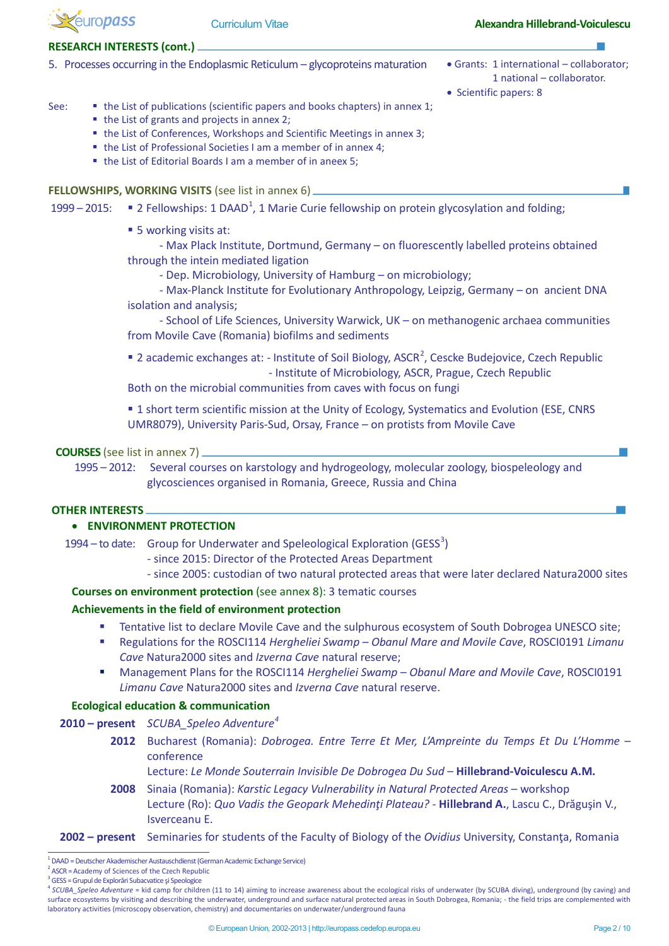

#### **RESEARCH INTERESTS (cont.)**

- 5. Processes occurring in the Endoplasmic Reticulum glycoproteins maturation Grants: 1 international collaborator;
	- 1 national collaborator.
	- Scientific papers: 8

#### See:  $\bullet$  the List of publications (scientific papers and books chapters) in annex 1;

- the List of grants and projects in annex 2;
- the List of Conferences, Workshops and Scientific Meetings in annex 3;
- the List of Professional Societies I am a member of in annex 4;
- the List of Editorial Boards I am a member of in aneex 5;

**FELLOWSHIPS, WORKING VISITS** (see list in annex 6)

[1](#page-1-0)999 – 2015:  $\blacksquare$  2 Fellowships: 1 DAAD<sup>1</sup>, 1 Marie Curie fellowship on protein glycosylation and folding;

■ 5 working visits at:

- Max Plack Institute, Dortmund, Germany – on fluorescently labelled proteins obtained through the intein mediated ligation

- Dep. Microbiology, University of Hamburg – on microbiology;

- Max-Planck Institute for Evolutionary Anthropology, Leipzig, Germany – on ancient DNA isolation and analysis;

- School of Life Sciences, University Warwick, UK – on methanogenic archaea communities from Movile Cave (Romania) biofilms and sediments

**[2](#page-1-1)** academic exchanges at: - Institute of Soil Biology, ASCR<sup>2</sup>, Cescke Budejovice, Czech Republic - Institute of Microbiology, ASCR, Prague, Czech Republic

Both on the microbial communities from caves with focus on fungi

**1** short term scientific mission at the Unity of Ecology, Systematics and Evolution (ESE, CNRS UMR8079), University Paris-Sud, Orsay, France – on protists from Movile Cave

### **COURSES** (see list in annex 7)

1995 – 2012: Several courses on karstology and hydrogeology, molecular zoology, biospeleology and glycosciences organised in Romania, Greece, Russia and China

### **OTHER INTERESTS**

## • **ENVIRONMENT PROTECTION**

1994 – to date: Group for Underwater and Speleological Exploration (GESS<sup>[3](#page-1-2)</sup>)

- since 2015: Director of the Protected Areas Department
- since 2005: custodian of two natural protected areas that were later declared Natura2000 sites

**Courses on environment protection** (see annex 8): 3 tematic courses

### **Achievements in the field of environment protection**

- Tentative list to declare Movile Cave and the sulphurous ecosystem of South Dobrogea UNESCO site;
- Regulations for the ROSCI114 *Hergheliei Swamp – Obanul Mare and Movile Cave*, ROSCI0191 *Limanu Cave* Natura2000 sites and *Izverna Cave* natural reserve;
- Management Plans for the ROSCI114 *Hergheliei Swamp – Obanul Mare and Movile Cave*, ROSCI0191 *Limanu Cave* Natura2000 sites and *Izverna Cave* natural reserve.

### **Ecological education & communication**

- **2010 – present** *SCUBA\_Speleo Adventure[4](#page-1-3)*
	- **2012** Bucharest (Romania): *Dobrogea. Entre Terre Et Mer, L'Ampreinte du Temps Et Du L'Homme* conference

Lecture: *Le Monde Souterrain Invisible De Dobrogea Du Sud* – **Hillebrand-Voiculescu A.M.**

**2008** Sinaia (Romania): *Karstic Legacy Vulnerability in Natural Protected Areas* – workshop Lecture (Ro): *Quo Vadis the Geopark Mehedinţi Plateau?* - **Hillebrand A.**, Lascu C., Drăguşin V., Isverceanu E.

**<sup>2002 –</sup> present** Seminaries for students of the Faculty of Biology of the *Ovidius* University, Constanţa, Romania

<span id="page-1-0"></span> $\frac{1}{1}$  $^1$  DAAD = Deutscher Akademischer Austauschdienst (German Academic Exchange Service)

<sup>2</sup> ASCR = Academy of Sciences of the Czech Republic <sup>3</sup>

<span id="page-1-2"></span><span id="page-1-1"></span> $3\overline{G}$ GESS = Grupul de Explorări Subacvatice și Speologice

<span id="page-1-3"></span><sup>4</sup> *SCUBA\_Speleo Adventure* = kid camp for children (11 to 14) aiming to increase awareness about the ecological risks of underwater (by SCUBA diving), underground (by caving) and surface ecosystems by visiting and describing the underwater, underground and surface natural protected areas in South Dobrogea, Romania; - the field trips are complemented with laboratory activities (microscopy observation, chemistry) and documentaries on underwater/underground fauna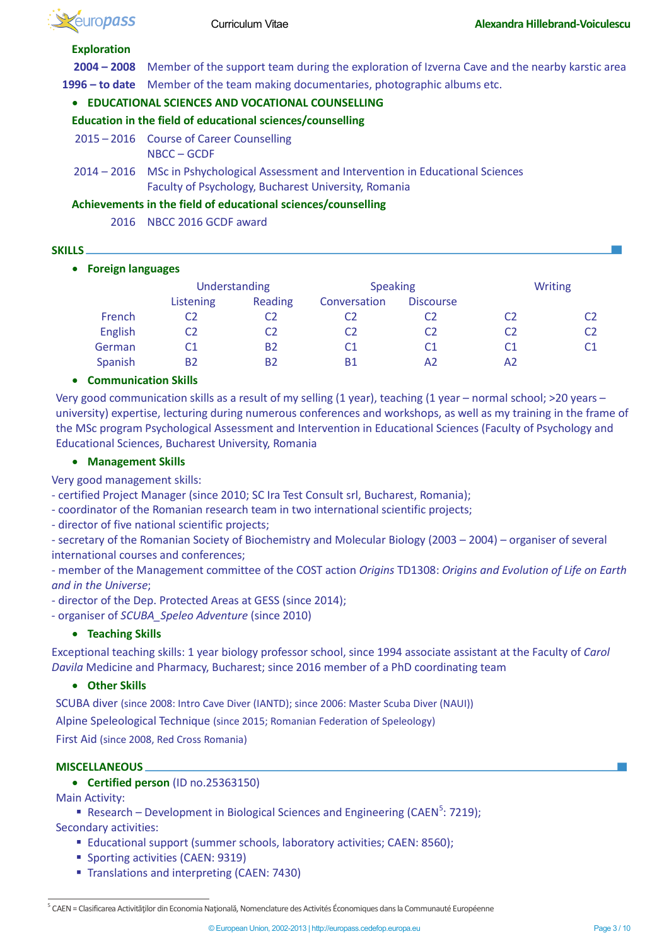

# **Exploration**

**2004 – 2008** Member of the support team during the exploration of Izverna Cave and the nearby karstic area **1996 – to date** Member of the team making documentaries, photographic albums etc.

# • **EDUCATIONAL SCIENCES AND VOCATIONAL COUNSELLING**

**Education in the field of educational sciences/counselling**

- 2015 2016 Course of Career Counselling NBCC – GCDF
- 2014 2016 MSc in Pshychological Assessment and Intervention in Educational Sciences Faculty of Psychology, Bucharest University, Romania

# **Achievements in the field of educational sciences/counselling**

2016 NBCC 2016 GCDF award

## **SKILLS**

# • **Foreign languages**

|         | Understanding |                | <b>Speaking</b> |                  | <b>Writing</b> |    |
|---------|---------------|----------------|-----------------|------------------|----------------|----|
|         | Listening     | Reading        | Conversation    | <b>Discourse</b> |                |    |
| French  |               | C2             |                 | C2               | C2             | C2 |
| English |               | C2             | C2              | C2               | C2             | C2 |
| German  |               | B <sub>2</sub> | C <sub>1</sub>  | C1               | C1             | C1 |
| Spanish | <b>B2</b>     | B <sub>2</sub> | <b>B1</b>       | A <sub>2</sub>   | A2             |    |

# • **Communication Skills**

Very good communication skills as a result of my selling (1 year), teaching (1 year – normal school; >20 years – university) expertise, lecturing during numerous conferences and workshops, as well as my training in the frame of the MSc program Psychological Assessment and Intervention in Educational Sciences (Faculty of Psychology and Educational Sciences, Bucharest University, Romania

## • **Management Skills**

Very good management skills:

- certified Project Manager (since 2010; SC Ira Test Consult srl, Bucharest, Romania);

- coordinator of the Romanian research team in two international scientific projects;

- director of five national scientific projects;

- secretary of the Romanian Society of Biochemistry and Molecular Biology (2003 – 2004) – organiser of several international courses and conferences;

- member of the Management committee of the COST action *Origins* TD1308: *Origins and Evolution of Life on Earth and in the Universe*;

- director of the Dep. Protected Areas at GESS (since 2014);

- organiser of *SCUBA\_Speleo Adventure* (since 2010)

# • **Teaching Skills**

Exceptional teaching skills: 1 year biology professor school, since 1994 associate assistant at the Faculty of *Carol Davila* Medicine and Pharmacy, Bucharest; since 2016 member of a PhD coordinating team

## • **Other Skills**

SCUBA diver (since 2008: Intro Cave Diver (IANTD); since 2006: Master Scuba Diver (NAUI))

Alpine Speleological Technique (since 2015; Romanian Federation of Speleology)

First Aid (since 2008, Red Cross Romania)

## **MISCELLANEOUS**

• **Certified person** (ID no.25363150)

Main Activity:

Research – Development in Biological Sciences and Engineering (CAEN<sup>[5](#page-2-0)</sup>: 7219); Secondary activities:

- Educational support (summer schools, laboratory activities; CAEN: 8560);
- **Sporting activities (CAEN: 9319)**
- Translations and interpreting (CAEN: 7430)

<span id="page-2-0"></span>5 CAEN = Clasificarea Activităţilor din Economia Naţională, Nomenclature des Activités Économiques dans la Communauté Européenne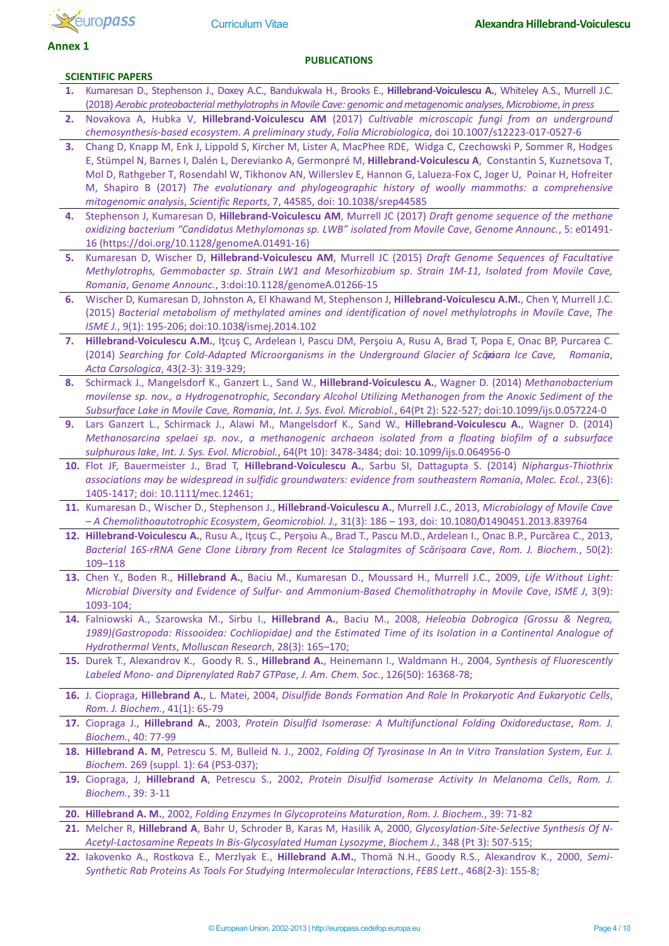

**SCIENTIFIC PAPERS**

#### **Annex 1**

#### **PUBLICATIONS**

- **1.** Kumaresan D., Stephenson J., Doxey A.C., Bandukwala H., Brooks E., **Hillebrand-Voiculescu A.**, Whiteley A.S., Murrell J.C. (2018) *Aerobic proteobacterial methylotrophs in Movile Cave: genomic and metagenomic analyses*, *Microbiome*, *in press*
- **2.** Novakova A, Hubka V, **Hillebrand-Voiculescu AM** (2017) *Cultivable microscopic fungi from an underground chemosynthesis-based ecosystem. A preliminary study*, *Folia Microbiologica*, doi 10.1007/s12223-017-0527-6
- **3.** Chang D, Knapp M, Enk J, Lippold S, Kircher M, Lister A, MacPhee RDE, Widga C, Czechowski P, Sommer R, Hodges E, Stümpel N, Barnes I, Dalén L, Derevianko A, Germonpré M, **Hillebrand-Voiculescu A**, Constantin S, Kuznetsova T, Mol D, Rathgeber T, Rosendahl W, Tikhonov AN, Willerslev E, Hannon G, Lalueza-Fox C, Joger U, Poinar H, Hofreiter M, Shapiro B (2017) *The evolutionary and phylogeographic history of woolly mammoths: a comprehensive mitogenomic analysis*, *Scientific Reports*, 7, 44585, doi: 10.1038/srep44585
- **4.** Stephenson J, Kumaresan D, **Hillebrand-Voiculescu AM**, Murrell JC (2017) *Draft genome sequence of the methane oxidizing bacterium "Candidatus Methylomonas sp. LWB" isolated from Movile Cave*, *Genome Announc.*, 5: e01491- 16 (https://doi.org/10.1128/genomeA.01491-16)
- **5.** Kumaresan D, Wischer D, **Hillebrand-Voiculescu AM**, Murrell JC (2015) *Draft Genome Sequences of Facultative Methylotrophs, Gemmobacter sp. Strain LW1 and Mesorhizobium sp. Strain 1M-11, Isolated from Movile Cave, Romania*, *Genome Announc.*, 3:doi:10.1128/genomeA.01266-15
- **6.** Wischer D, Kumaresan D, Johnston A, El Khawand M, Stephenson J, **Hillebrand-Voiculescu A.M.**, Chen Y, Murrell J.C. (2015) *Bacterial metabolism of methylated amines and identification of novel methylotrophs in Movile Cave*, *The ISME J.*, 9(1): 195-206; doi:10.1038/ismej.2014.102
- **7. Hillebrand-Voiculescu A.M.**, Iţcuş C, Ardelean I, Pascu DM, Perşoiu A, Rusu A, Brad T, Popa E, Onac BP, Purcarea C. (2014) *Searching for Cold-Adapted Microorganisms in the Underground Glacier of Scări șoara Ice Cave, Romania*, *Acta Carsologica*, 43(2-3): 319-329;
- **8.** Schirmack J., Mangelsdorf K., Ganzert L., Sand W., **Hillebrand-Voiculescu A.**, Wagner D. (2014) *Methanobacterium movilense sp. nov., a Hydrogenotrophic, Secondary Alcohol Utilizing Methanogen from the Anoxic Sediment of the Subsurface Lake in Movile Cave, Romania*, *Int. J. Sys. Evol. Microbiol.*, 64(Pt 2): 522-527; doi:10.1099/ijs.0.057224-0
- **9.** Lars Ganzert L., Schirmack J., Alawi M., Mangelsdorf K., Sand W., **Hillebrand-Voiculescu A.**, Wagner D. (2014) *[Methanosarcina spelaei sp. nov., a methanogenic archaeon isolated from a floating biofilm of a subsurface](http://ijs.sgmjournals.org/content/64/Pt_10/3478.short)  [sulphurous lake](http://ijs.sgmjournals.org/content/64/Pt_10/3478.short)*, *Int. J. Sys. Evol. Microbiol.*, 64(Pt 10): 3478-3484; doi: 10.1099/ijs.0.064956-0
- **10.** Flot JF, Bauermeister J., Brad T, **Hillebrand-Voiculescu A.**, Sarbu SI, Dattagupta S. (2014) *Niphargus-Thiothrix associations may be widespread in sulfidic groundwaters: evidence from southeastern Romania*, *Molec. Ecol.*, 23(6): 1405-1417; doi: 10.1111/mec.12461;
- **11.** Kumaresan D., Wischer D., Stephenson J., **Hillebrand-Voiculescu A.**, Murrell J.C., 2013, *Microbiology of Movile Cave – A Chemolithoautotrophic Ecosystem*, *Geomicrobiol. J.,* 31(3): 186 – 193, doi: 10.1080/01490451.2013.839764
- 12. Hillebrand-Voiculescu A., Rusu A., Itcus C., Persoiu A., Brad T., Pascu M.D., Ardelean I., Onac B.P., Purcărea C., 2013, *Bacterial 16S-rRNA Gene Clone Library from Recent Ice Stalagmites of Scăriṣoara Cave*, *Rom. J. Biochem.*, 50(2): 109–118
- **13.** Chen Y., Boden R., **Hillebrand A.**, Baciu M., Kumaresan D., Moussard H., Murrell J.C., 2009, *[Life Without Light:](http://apps.webofknowledge.com/full_record.do?product=UA&search_mode=Refine&qid=3&SID=S1C4cBFllNKi5h9mloC&page=1&doc=1&cacheurlFromRightClick=no)  Microbial Diversity and Evidence of Sulfur- [and Ammonium-Based Chemolithotrophy in Movile Cave](http://apps.webofknowledge.com/full_record.do?product=UA&search_mode=Refine&qid=3&SID=S1C4cBFllNKi5h9mloC&page=1&doc=1&cacheurlFromRightClick=no)*, *ISME J*, 3(9): 1093-104;
- **14.** Falniowski A., Szarowska M., Sirbu I., **Hillebrand A.**, Baciu M., 2008, *Heleobia Dobrogica (Grossu & Negrea,*  1989)(Gastropoda: Rissooidea: Cochliopidae) and the Estimated Time of its Isolation in a Continental Analogue of *Hydrothermal Vents*, *Molluscan Research*, 28(3): 165–170;
- **15.** Durek T., Alexandrov K., Goody R. S., **Hillebrand A.**, Heinemann I., Waldmann H., 2004, *Synthesis of Fluorescently Labeled Mono- and Diprenylated Rab7 GTPase*, *J. Am. Chem. Soc.*, 126(50): 16368-78;
- **16.** J. Ciopraga, **Hillebrand A.**, L. Matei, 2004, *Disulfide Bonds Formation And Role In Prokaryotic And Eukaryotic Cells*, *Rom. J. Biochem.*, 41(1): 65-79
- **17.** Ciopraga J., **Hillebrand A.**, 2003, *Protein Disulfid Isomerase: A Multifunctional Folding Oxidoreductase*, *Rom. J. Biochem.*, 40: 77-99
- **18. Hillebrand A. M**, Petrescu S. M, Bulleid N. J., 2002, *Folding Of Tyrosinase In An In Vitro Translation System*, *Eur. J. Biochem.* 269 (suppl. 1): 64 (PS3-037);
- **19.** Ciopraga, J, **Hillebrand A**, Petrescu S., 2002, *Protein Disulfid Isomerase Activity In Melanoma Cells*, *Rom. J. Biochem.*, 39: 3-11
- **20. Hillebrand A. M.**, 2002, *Folding Enzymes In Glycoproteins Maturation*, *Rom. J. Biochem.*, 39: 71-82
- **21.** Melcher R, **Hillebrand A**, Bahr U, Schroder B, Karas M, Hasilik A, 2000, *Glycosylation-Site-Selective Synthesis Of N-Acetyl-Lactosamine Repeats In Bis-Glycosylated Human Lysozyme*, *Biochem J.*, 348 (Pt 3): 507-515;
- **22.** Iakovenko A., Rostkova E., Merzlyak E., **Hillebrand A.M.**, Thomä N.H., Goody R.S., Alexandrov K., 2000, *Semi-Synthetic Rab Proteins As Tools For Studying Intermolecular Interactions*, *FEBS Lett*., 468(2-3): 155-8;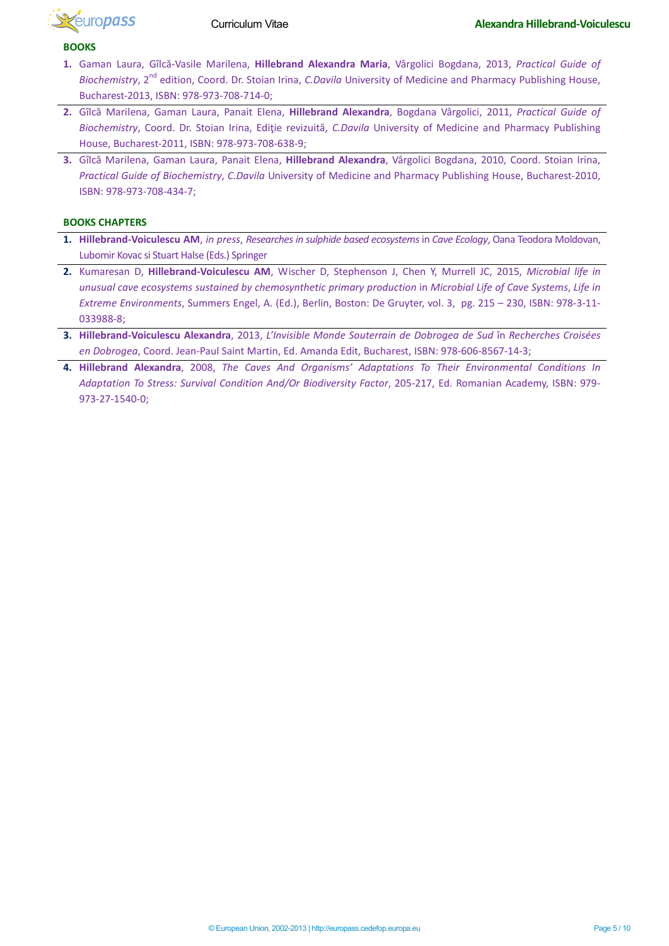

#### **BOOKS**

- **1.** Gaman Laura, Gîlcă-Vasile Marilena, **Hillebrand Alexandra Maria**, Vârgolici Bogdana, 2013, *Practical Guide of Biochemistry*, 2<sup>nd</sup> edition, Coord. Dr. Stoian Irina, *C.Davila* University of Medicine and Pharmacy Publishing House, Bucharest-2013, ISBN: 978-973-708-714-0;
- **2.** Gîlcă Marilena, Gaman Laura, Panait Elena, **Hillebrand Alexandra**, Bogdana Vârgolici, 2011, *Practical Guide of Biochemistry*, Coord. Dr. Stoian Irina, Ediţie revizuită, *C.Davila* University of Medicine and Pharmacy Publishing House, Bucharest-2011, ISBN: 978-973-708-638-9;
- **3.** Gîlcă Marilena, Gaman Laura, Panait Elena, **Hillebrand Alexandra**, Vârgolici Bogdana, 2010, Coord. Stoian Irina, *Practical Guide of Biochemistry*, *C.Davila* University of Medicine and Pharmacy Publishing House, Bucharest-2010, ISBN: 978-973-708-434-7;

#### **BOOKS CHAPTERS**

- **1. Hillebrand-Voiculescu AM**, *in press*, *Researches in sulphide based ecosystems*in *Cave Ecology*, Oana Teodora Moldovan, Lubomir Kovac si Stuart Halse (Eds.) Springer
- **2.** Kumaresan D, **Hillebrand-Voiculescu AM**, Wischer D, Stephenson J, Chen Y, Murrell JC, 2015, *Microbial life in unusual cave ecosystems sustained by chemosynthetic primary production* in *Microbial Life of Cave Systems*, *Life in Extreme Environments*, Summers Engel, A. (Ed.), Berlin, Boston: De Gruyter, vol. 3, pg. 215 – 230, ISBN: 978-3-11- 033988-8;
- **3. Hillebrand-Voiculescu Alexandra**, 2013, *L'Invisible Monde Souterrain de Dobrogea de Sud* în *Recherches Croisées en Dobrogea*, Coord. Jean-Paul Saint Martin, Ed. Amanda Edit, Bucharest, ISBN: 978-606-8567-14-3;
- **4. Hillebrand Alexandra**, 2008, *The Caves And Organisms' Adaptations To Their Environmental Conditions In Adaptation To Stress: Survival Condition And/Or Biodiversity Factor*, 205-217, Ed. Romanian Academy, ISBN: 979- 973-27-1540-0;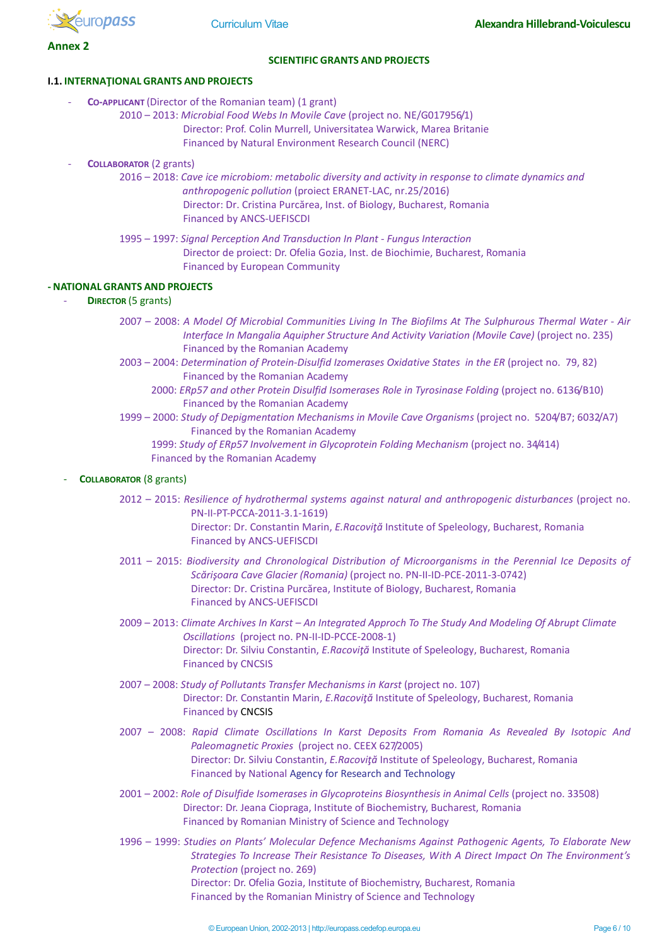

**Annex 2**

#### **SCIENTIFIC GRANTS AND PROJECTS**

#### **I.1. INTERNAŢIONAL GRANTS AND PROJECTS**

- **CO-APPLICANT** (Director of the Romanian team) (1 grant)
	- 2010 2013: *Microbial Food Webs In Movile Cave* (project no. NE/G017956/1) Director: Prof. Colin Murrell, Universitatea Warwick, Marea Britanie Financed by Natural Environment Research Council (NERC)
	- **COLLABORATOR** (2 grants)
		- 2016 2018: *Cave ice microbiom: metabolic diversity and activity in response to climate dynamics and anthropogenic pollution* (proiect ERANET-LAC, nr.25/2016) Director: Dr. Cristina Purcărea, Inst. of Biology, Bucharest, Romania Financed by ANCS-UEFISCDI
		- 1995 1997: *Signal Perception And Transduction In Plant - Fungus Interaction* Director de proiect: Dr. Ofelia Gozia, Inst. de Biochimie, Bucharest, Romania Financed by European Community

### **- NATIONAL GRANTS AND PROJECTS**

- **DIRECTOR** (5 grants)
	- 2007 2008: *A Model Of Microbial Communities Living In The Biofilms At The Sulphurous Thermal Water - Air Interface In Mangalia Aquipher Structure And Activity Variation (Movile Cave)* (project no. 235) Financed by the Romanian Academy
	- 2003 2004: *Determination of Protein-Disulfid Izomerases Oxidative States in the ER* (project no. 79, 82) Financed by the Romanian Academy
		- 2000: *ERp57 and other Protein Disulfid Isomerases Role in Tyrosinase Folding* (project no. 6136/B10) Financed by the Romanian Academy
	- 1999 2000: *Study of Depigmentation Mechanisms in Movile Cave Organisms* (project no. 5204/B7; 6032/A7) Financed by the Romanian Academy
		- 1999: *Study of ERp57 Involvement in Glycoprotein Folding Mechanism* (project no. 34/414) Financed by the Romanian Academy

### **COLLABORATOR** (8 grants)

- 2012 2015: *Resilience of hydrothermal systems against natural and anthropogenic disturbances* (project no. PN-II-PT-PCCA-2011-3.1-1619) Director: Dr. Constantin Marin, *E.Racoviţă* Institute of Speleology, Bucharest, Romania Financed by ANCS-UEFISCDI
- 2011 2015: *Biodiversity and Chronological Distribution of Microorganisms in the Perennial Ice Deposits of Scărişoara Cave Glacier (Romania)* (project no. PN-II-ID-PCE-2011-3-0742) Director: Dr. Cristina Purcărea, Institute of Biology, Bucharest, Romania Financed by ANCS-UEFISCDI
- 2009 2013: *Climate Archives In Karst – An Integrated Approch To The Study And Modeling Of Abrupt Climate Oscillations* (project no. PN-II-ID-PCCE-2008-1) Director: Dr. Silviu Constantin, *E.Racoviţă* Institute of Speleology, Bucharest, Romania Financed by CNCSIS
- 2007 2008: *Study of Pollutants Transfer Mechanisms in Karst* (project no. 107) Director: Dr. Constantin Marin, *E.Racoviţă* Institute of Speleology, Bucharest, Romania Financed by CNCSIS
- 2007 2008: *Rapid Climate Oscillations In Karst Deposits From Romania As Revealed By Isotopic And Paleomagnetic Proxies* (project no. CEEX 627/2005) Director: Dr. Silviu Constantin, *E.Racoviţă* Institute of Speleology, Bucharest, Romania Financed by National Agency for Research and Technology
- 2001 2002: *Role of Disulfide Isomerases in Glycoproteins Biosynthesis in Animal Cells* (project no. 33508) Director: Dr. Jeana Ciopraga, Institute of Biochemistry, Bucharest, Romania Financed by Romanian Ministry of Science and Technology
- 1996 1999: *Studies on Plants' Molecular Defence Mechanisms Against Pathogenic Agents, To Elaborate New Strategies To Increase Their Resistance To Diseases, With A Direct Impact On The Environment's Protection* (project no. 269) Director: Dr. Ofelia Gozia, Institute of Biochemistry, Bucharest, Romania Financed by the Romanian Ministry of Science and Technology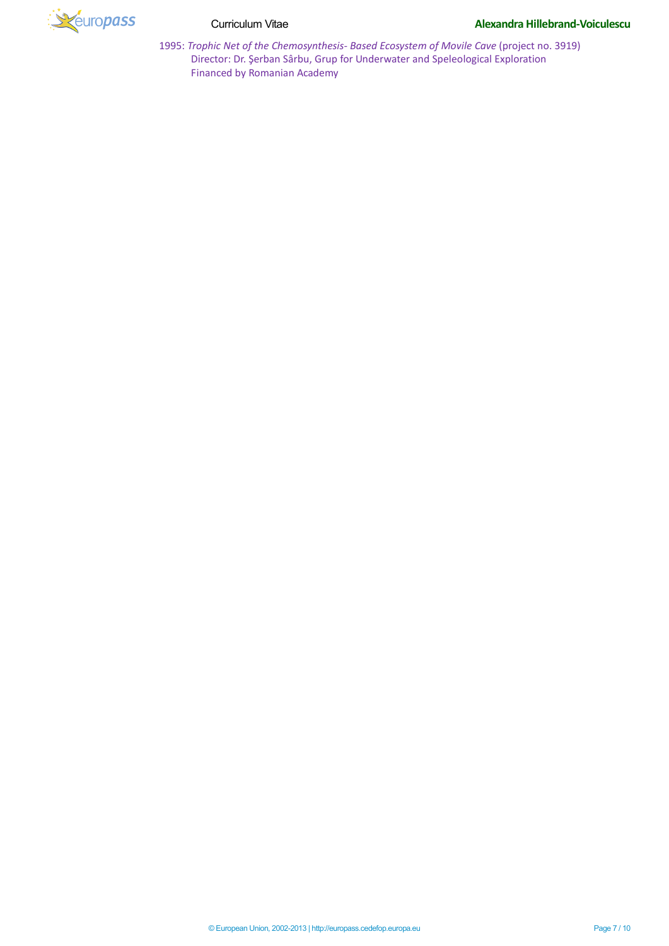

1995: *Trophic Net of the Chemosynthesis- Based Ecosystem of Movile Cave* (project no. 3919) Director: Dr. Şerban Sârbu, Grup for Underwater and Speleological Exploration Financed by Romanian Academy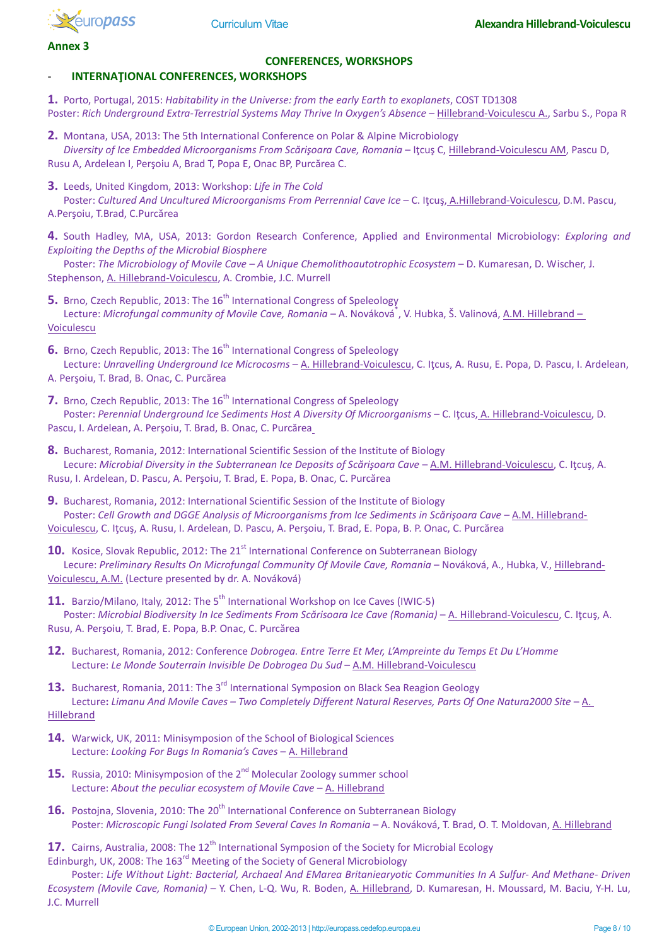

**Annex 3**

# **CONFERENCES, WORKSHOPS**

# - **INTERNAŢIONAL CONFERENCES, WORKSHOPS**

**1.** Porto, Portugal, 2015: *Habitability in the Universe: from the early Earth to exoplanets*, COST TD1308 Poster: *Rich Underground Extra-Terrestrial Systems May Thrive In Oxygen's Absence* – Hillebrand-Voiculescu A., Sarbu S., Popa R

**2.** Montana, USA, 2013: The 5th International Conference on Polar & Alpine Microbiology *Diversity of Ice Embedded Microorganisms From Scărişoara Cave, Romania* – Iţcuş C, Hillebrand-Voiculescu AM, Pascu D, Rusu A, Ardelean I, Perşoiu A, Brad T, Popa E, Onac BP, Purcărea C.

**3.** Leeds, United Kingdom, 2013: Workshop: *Life in The Cold*

Poster: *Cultured And Uncultured Microorganisms From Perrennial Cave Ice* – C. Iţcuş, A.Hillebrand-Voiculescu, D.M. Pascu, A.Perşoiu, T.Brad, C.Purcărea

**4.** South Hadley, MA, USA, 2013: Gordon Research Conference, Applied and Environmental Microbiology: *Exploring and Exploiting the Depths of the Microbial Biosphere*

Poster: *The Microbiology of Movile Cave – A Unique Chemolithoautotrophic Ecosystem* – D. Kumaresan, D. Wischer, J. Stephenson, A. Hillebrand-Voiculescu, A. Crombie, J.C. Murrell

**5.** Brno, Czech Republic, 2013: The 16<sup>th</sup> International Congress of Speleology Lecture: *Microfungal community of Movile Cave, Romania* – A. Nováková<sup>\*</sup>, V. Hubka, Š. Valinová, <u>A.M. Hillebrand –</u> Voiculescu

**6.** Brno, Czech Republic, 2013: The 16<sup>th</sup> International Congress of Speleology Lecture: *Unravelling Underground Ice Microcosms* – A. Hillebrand-Voiculescu, C. Iţcus, A. Rusu, E. Popa, D. Pascu, I. Ardelean,

- A. Perşoiu, T. Brad, B. Onac, C. Purcărea
- **7.** Brno, Czech Republic, 2013: The 16<sup>th</sup> International Congress of Speleology Poster: Perennial Underground Ice Sediments Host A Diversity Of Microorganisms - C. Itcus, A. Hillebrand-Voiculescu, D. Pascu, I. Ardelean, A. Perşoiu, T. Brad, B. Onac, C. Purcărea
- **8.** Bucharest, Romania, 2012: International Scientific Session of the Institute of Biology Lecure: *Microbial Diversity in the Subterranean Ice Deposits of Scărişoara Cave* – A.M. Hillebrand-Voiculescu, C. Iţcuş, A. Rusu, I. Ardelean, D. Pascu, A. Perşoiu, T. Brad, E. Popa, B. Onac, C. Purcărea
- **9.** Bucharest, Romania, 2012: International Scientific Session of the Institute of Biology Poster: *Cell Growth and DGGE Analysis of Microorganisms from Ice Sediments in Scărișoara Cave – A.M. Hillebrand-*Voiculescu, C. Iţcuş, A. Rusu, I. Ardelean, D. Pascu, A. Perşoiu, T. Brad, E. Popa, B. P. Onac, C. Purcărea

**10.** Kosice, Slovak Republic, 2012: The 21<sup>st</sup> International Conference on Subterranean Biology Lecure: *Preliminary Results On Microfungal Community Of Movile Cave, Romania* – Nováková, A., Hubka, V., Hillebrand-Voiculescu, A.M. (Lecture presented by dr. A. Nováková)

**11.** Barzio/Milano, Italy, 2012: The 5<sup>th</sup> International Workshop on Ice Caves (IWIC-5) Poster: *Microbial Biodiversity In Ice Sediments From Scărisoara Ice Cave (Romania)* – A. Hillebrand-Voiculescu, C. Iţcuş, A. Rusu, A. Perşoiu, T. Brad, E. Popa, B.P. Onac, C. Purcărea

**12.** Bucharest, Romania, 2012: Conference *Dobrogea. Entre Terre Et Mer, L'Ampreinte du Temps Et Du L'Homme* Lecture: *Le Monde Souterrain Invisible De Dobrogea Du Sud* – A.M. Hillebrand-Voiculescu

**13.** Bucharest, Romania, 2011: The 3<sup>rd</sup> International Symposion on Black Sea Reagion Geology Lecture**:** *Limanu And Movile Caves – Two Completely Different Natural Reserves, Parts Of One Natura2000 Site* – A. Hillebrand

- **14.** Warwick, UK, 2011: Minisymposion of the School of Biological Sciences Lecture: *Looking For Bugs In Romania's Caves* – A. Hillebrand
- **15.** Russia, 2010: Minisymposion of the 2<sup>nd</sup> Molecular Zoology summer school Lecture: *About the peculiar ecosystem of Movile Cave* – A. Hillebrand
- 16. Postoina, Slovenia, 2010: The 20<sup>th</sup> International Conference on Subterranean Biology Poster: *Microscopic Fungi Isolated From Several Caves In Romania* – A. Nováková, T. Brad, O. T. Moldovan, A. Hillebrand

17. Cairns, Australia, 2008: The 12<sup>th</sup> International Symposion of the Society for Microbial Ecology Edinburgh, UK, 2008: The 163<sup>rd</sup> Meeting of the Society of General Microbiology

Poster: *Life Without Light: Bacterial, Archaeal And EMarea Britaniearyotic Communities In A Sulfur- And Methane- Driven Ecosystem (Movile Cave, Romania)* – Y. Chen, L-Q. Wu, R. Boden, A. Hillebrand, D. Kumaresan, H. Moussard, M. Baciu, Y-H. Lu, J.C. Murrell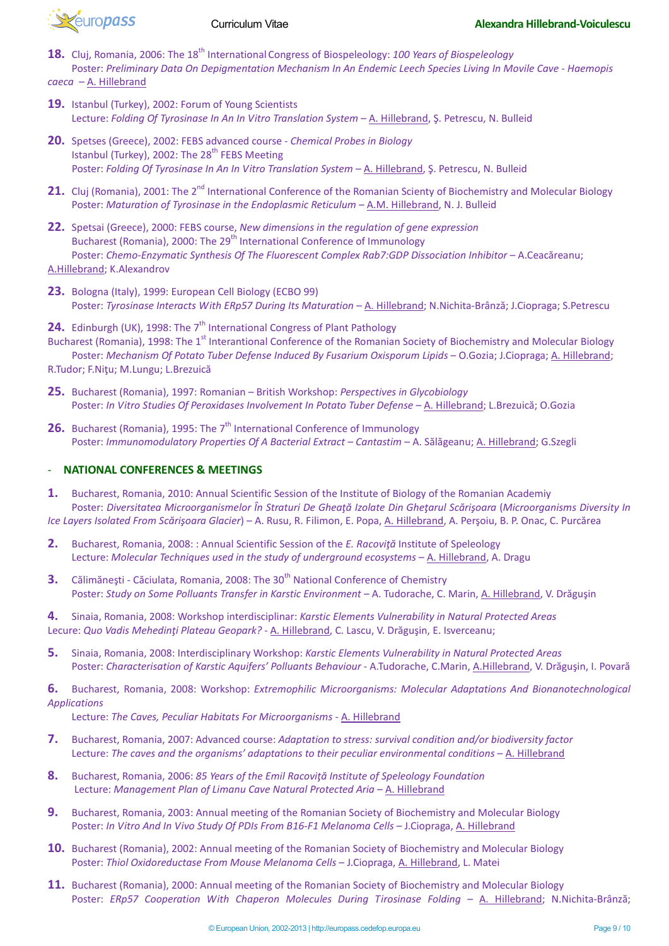

- 18. Cluj, Romania, 2006: The 18<sup>th</sup> International Congress of Biospeleology: 100 Years of Biospeleology Poster: *Preliminary Data On Depigmentation Mechanism In An Endemic Leech Species Living In Movile Cave - Haemopis caeca* – A. Hillebrand
- **19.** Istanbul (Turkey), 2002: Forum of Young Scientists Lecture: *Folding Of Tyrosinase In An In Vitro Translation System* – A. Hillebrand, Ş. Petrescu, N. Bulleid
- **20.** Spetses (Greece), 2002: FEBS advanced course *Chemical Probes in Biology* Istanbul (Turkey), 2002: The  $28<sup>th</sup>$  FEBS Meeting Poster: *Folding Of Tyrosinase In An In Vitro Translation System* – A. Hillebrand, Ş. Petrescu, N. Bulleid
- **21.** Cluj (Romania), 2001: The 2<sup>nd</sup> International Conference of the Romanian Scienty of Biochemistry and Molecular Biology Poster: *Maturation of Tyrosinase in the Endoplasmic Reticulum* - A.M. Hillebrand, N. J. Bulleid
- **22.** Spetsai (Greece), 2000: FEBS course, *New dimensions in the regulation of gene expression* Bucharest (Romania), 2000: The 29<sup>th</sup> International Conference of Immunology Poster: *Chemo-Enzymatic Synthesis Of The Fluorescent Complex Rab7:GDP Dissociation Inhibitor* – A.Ceacăreanu: A.Hillebrand; K.Alexandrov
- **23.** Bologna (Italy), 1999: European Cell Biology (ECBO 99) Poster: *Tyrosinase Interacts With ERp57 During Its Maturation* – A. Hillebrand; N.Nichita-Brânză; J.Ciopraga; S.Petrescu
- **24.** Edinburgh (UK), 1998: The 7<sup>th</sup> International Congress of Plant Pathology Bucharest (Romania), 1998: The 1<sup>st</sup> Interantional Conference of the Romanian Society of Biochemistry and Molecular Biology Poster: *Mechanism Of Potato Tuber Defense Induced By Fusarium Oxisporum Lipids* – O.Gozia; J.Ciopraga; A. Hillebrand;
- R.Tudor; F.Niţu; M.Lungu; L.Brezuică
- **25.** Bucharest (Romania), 1997: Romanian British Workshop: *Perspectives in Glycobiology* Poster: *In Vitro Studies Of Peroxidases Involvement In Potato Tuber Defense* - A. Hillebrand; L.Brezuică; O.Gozia
- **26.** Bucharest (Romania), 1995: The 7<sup>th</sup> International Conference of Immunology Poster: *Immunomodulatory Properties Of A Bacterial Extract – Cantastim* – A. Sălăgeanu; A. Hillebrand; G.Szegli

## - **NATIONAL CONFERENCES & MEETINGS**

- **1.** Bucharest, Romania, 2010: Annual Scientific Session of the Institute of Biology of the Romanian Academiy Poster: *Diversitatea Microorganismelor În Straturi De Gheaţă Izolate Din Gheţarul Scărişoara* (*Microorganisms Diversity In Ice Layers Isolated From Scărişoara Glacier*) – A. Rusu, R. Filimon, E. Popa, A. Hillebrand, A. Perşoiu, B. P. Onac, C. Purcărea
- **2.** Bucharest, Romania, 2008: : Annual Scientific Session of the *E. Racoviţă* Institute of Speleology Lecture: *Molecular Techniques used in the study of underground ecosystems - A. Hillebrand, A. Dragu*
- **3.** Călimănești Căciulata, Romania, 2008: The 30<sup>th</sup> National Conference of Chemistry Poster: *Study on Some Polluants Transfer in Karstic Environment* – A. Tudorache, C. Marin, A. Hillebrand, V. Drăguşin

**4.** Sinaia, Romania, 2008: Workshop interdisciplinar: *Karstic Elements Vulnerability in Natural Protected Areas* Lecure: *Quo Vadis Mehedinți Plateau Geopark?* - A. Hillebrand, C. Lascu, V. Drăgușin, E. Isverceanu;

**5.** Sinaia, Romania, 2008: Interdisciplinary Workshop: *Karstic Elements Vulnerability in Natural Protected Areas* Poster: *Characterisation of Karstic Aquifers' Polluants Behaviour - A.Tudorache, C.Marin, A.Hillebrand, V. Drăgușin, I. Povară* 

**6.** Bucharest, Romania, 2008: Workshop: *Extremophilic Microorganisms: Molecular Adaptations And Bionanotechnological Applications*

Lecture: *The Caves, Peculiar Habitats For Microorganisms* - A. Hillebrand

- **7.** Bucharest, Romania, 2007: Advanced course: *Adaptation to stress: survival condition and/or biodiversity factor* Lecture: The caves and the organisms' adaptations to their peculiar environmental conditions - A. Hillebrand
- **8.** Bucharest, Romania, 2006: *85 Years of the Emil Racoviţă Institute of Speleology Foundation* Lecture: *Management Plan of Limanu Cave Natural Protected Aria - A. Hillebrand*
- **9.** Bucharest, Romania, 2003: Annual meeting of the Romanian Society of Biochemistry and Molecular Biology Poster: *In Vitro And In Vivo Study Of PDIs From B16-F1 Melanoma Cells* – J.Ciopraga, A. Hillebrand
- **10.** Bucharest (Romania), 2002: Annual meeting of the Romanian Society of Biochemistry and Molecular Biology Poster: *Thiol Oxidoreductase From Mouse Melanoma Cells* – J.Ciopraga, A. Hillebrand, L. Matei
- **11.** Bucharest (Romania), 2000: Annual meeting of the Romanian Society of Biochemistry and Molecular Biology Poster: *ERp57 Cooperation With Chaperon Molecules During Tirosinase Folding* – A. Hillebrand; N.Nichita-Brânză;